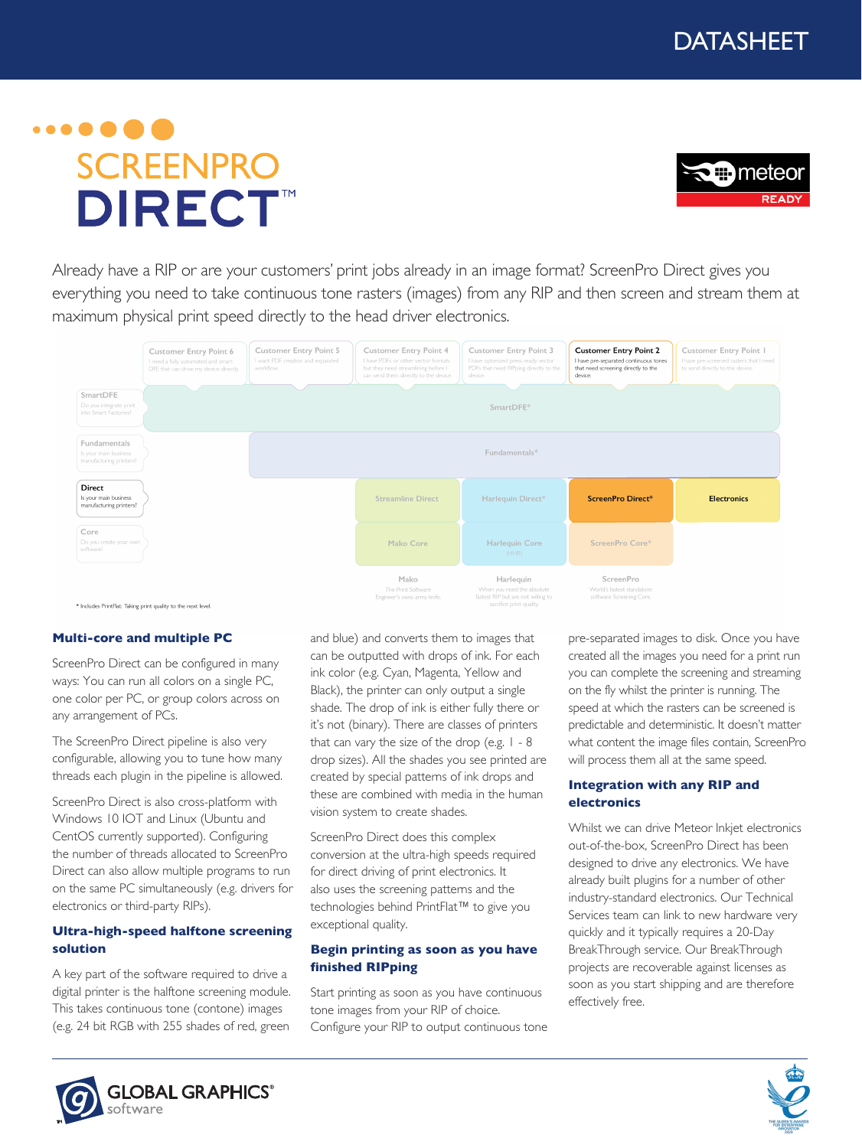# $\cdots$  . . . . . **SCREENPRO DIRECT**<sup>™</sup>



Already have a RIP or are your customers' print jobs already in an image format? ScreenPro Direct gives you everything you need to take continuous tone rasters (images) from any RIP and then screen and stream them at maximum physical print speed directly to the head driver electronics.



#### **Multi-core and multiple PC**

ScreenPro Direct can be configured in many ways: You can run all colors on a single PC, one color per PC, or group colors across on any arrangement of PCs.

The ScreenPro Direct pipeline is also very configurable, allowing you to tune how many threads each plugin in the pipeline is allowed.

ScreenPro Direct is also cross-platform with Windows 10 IOT and Linux (Ubuntu and CentOS currently supported). Configuring the number of threads allocated to ScreenPro Direct can also allow multiple programs to run on the same PC simultaneously (e.g. drivers for electronics or third-party RIPs).

#### **Ultra-high-speed halftone screening solution**

A key part of the software required to drive a digital printer is the halftone screening module. This takes continuous tone (contone) images (e.g. 24 bit RGB with 255 shades of red, green and blue) and converts them to images that can be outputted with drops of ink. For each ink color (e.g. Cyan, Magenta, Yellow and Black), the printer can only output a single shade. The drop of ink is either fully there or it's not (binary). There are classes of printers that can vary the size of the drop (e.g.  $1 - 8$ ) drop sizes). All the shades you see printed are created by special patterns of ink drops and these are combined with media in the human vision system to create shades.

ScreenPro Direct does this complex conversion at the ultra-high speeds required for direct driving of print electronics. It also uses the screening patterns and the technologies behind PrintFlat™ to give you exceptional quality.

#### **Begin printing as soon as you have finished RIPping**

Start printing as soon as you have continuous tone images from your RIP of choice. Configure your RIP to output continuous tone

pre-separated images to disk. Once you have created all the images you need for a print run you can complete the screening and streaming on the fly whilst the printer is running. The speed at which the rasters can be screened is predictable and deterministic. It doesn't matter what content the image files contain, ScreenPro will process them all at the same speed.

#### **Integration with any RIP and electronics**

Whilst we can drive Meteor Inkjet electronics out-of-the-box, ScreenPro Direct has been designed to drive any electronics. We have already built plugins for a number of other industry-standard electronics. Our Technical Services team can link to new hardware very quickly and it typically requires a 20-Day BreakThrough service. Our BreakThrough projects are recoverable against licenses as soon as you start shipping and are therefore effectively free.